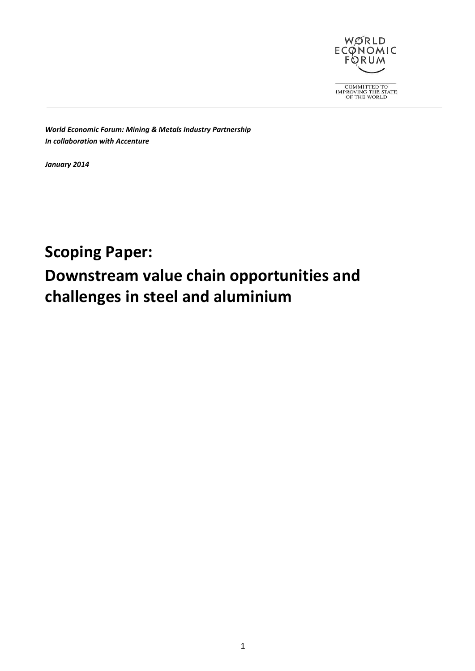

 $\fbox{\parbox{2.5cm}{{\bf COMMITTED~TO}}\begin{tabular}{l} <\!\!\!\!\!\!\! & \text{\bf COMMITTED~TO} \end{tabular} \begin{tabular}{l} \multicolumn{2}{l}{} \multicolumn{2}{l}{\text{\bf IMPROVING THE STATE}} \end{tabular} }$ 

*World Economic Forum: Mining & Metals Industry Partnership In collaboration with Accenture*

*January 2014*

# **Scoping Paper: Downstream value chain opportunities and challenges in steel and aluminium**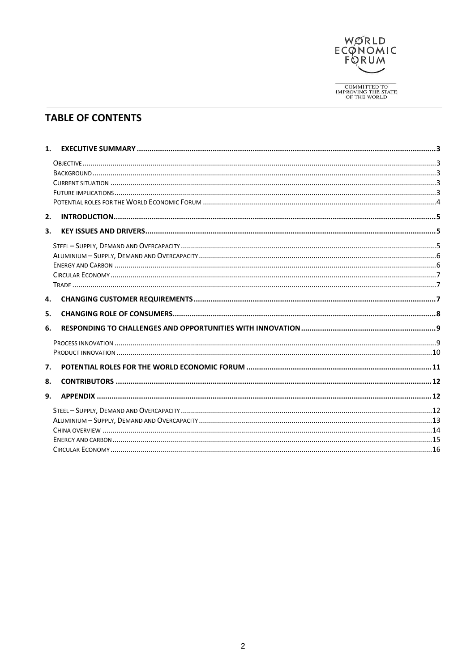

## **TABLE OF CONTENTS**

| 1. |  |
|----|--|
|    |  |
|    |  |
|    |  |
|    |  |
|    |  |
| 2. |  |
| 3. |  |
|    |  |
|    |  |
|    |  |
|    |  |
|    |  |
| 4. |  |
| 5. |  |
| 6. |  |
|    |  |
|    |  |
| 7. |  |
| 8. |  |
| 9. |  |
|    |  |
|    |  |
|    |  |
|    |  |
|    |  |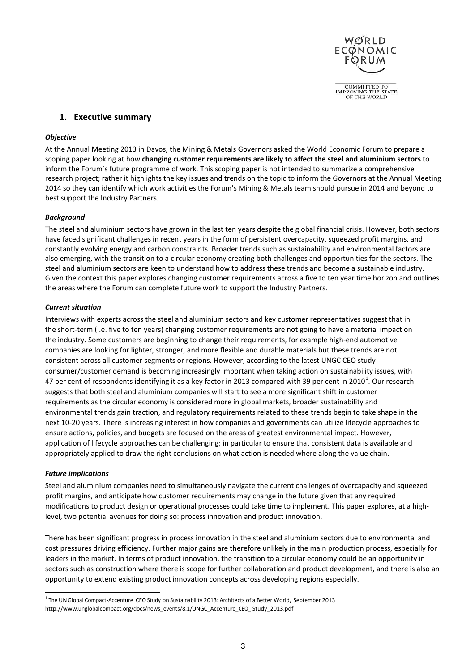

## <span id="page-2-0"></span>**1. Executive summary**

## <span id="page-2-1"></span>*Objective*

At the Annual Meeting 2013 in Davos, the Mining & Metals Governors asked the World Economic Forum to prepare a scoping paper looking at how **changing customer requirements are likely to affect the steel and aluminium sectors** to inform the Forum's future programme of work. This scoping paper is not intended to summarize a comprehensive research project; rather it highlights the key issues and trends on the topic to inform the Governors at the Annual Meeting 2014 so they can identify which work activities the Forum's Mining & Metals team should pursue in 2014 and beyond to best support the Industry Partners.

## <span id="page-2-2"></span>*Background*

The steel and aluminium sectors have grown in the last ten years despite the global financial crisis. However, both sectors have faced significant challenges in recent years in the form of persistent overcapacity, squeezed profit margins, and constantly evolving energy and carbon constraints. Broader trends such as sustainability and environmental factors are also emerging, with the transition to a circular economy creating both challenges and opportunities for the sectors. The steel and aluminium sectors are keen to understand how to address these trends and become a sustainable industry. Given the context this paper explores changing customer requirements across a five to ten year time horizon and outlines the areas where the Forum can complete future work to support the Industry Partners.

### <span id="page-2-3"></span>*Current situation*

Interviews with experts across the steel and aluminium sectors and key customer representatives suggest that in the short-term (i.e. five to ten years) changing customer requirements are not going to have a material impact on the industry. Some customers are beginning to change their requirements, for example high-end automotive companies are looking for lighter, stronger, and more flexible and durable materials but these trends are not consistent across all customer segments or regions. However, according to the latest UNGC CEO study consumer/customer demand is becoming increasingly important when taking action on sustainability issues, with 47 per cent of respondents identifying it as a key factor in 20[1](#page-2-5)3 compared with 39 per cent in 2010<sup>1</sup>. Our research suggests that both steel and aluminium companies will start to see a more significant shift in customer requirements as the circular economy is considered more in global markets, broader sustainability and environmental trends gain traction, and regulatory requirements related to these trends begin to take shape in the next 10-20 years. There is increasing interest in how companies and governments can utilize lifecycle approaches to ensure actions, policies, and budgets are focused on the areas of greatest environmental impact. However, application of lifecycle approaches can be challenging; in particular to ensure that consistent data is available and appropriately applied to draw the right conclusions on what action is needed where along the value chain.

## <span id="page-2-4"></span>*Future implications*

Steel and aluminium companies need to simultaneously navigate the current challenges of overcapacity and squeezed profit margins, and anticipate how customer requirements may change in the future given that any required modifications to product design or operational processes could take time to implement. This paper explores, at a highlevel, two potential avenues for doing so: process innovation and product innovation.

There has been significant progress in process innovation in the steel and aluminium sectors due to environmental and cost pressures driving efficiency. Further major gains are therefore unlikely in the main production process, especially for leaders in the market. In terms of product innovation, the transition to a circular economy could be an opportunity in sectors such as construction where there is scope for further collaboration and product development, and there is also an opportunity to extend existing product innovation concepts across developing regions especially.

<span id="page-2-5"></span> $1$  The UN Global Compact-Accenture CEO Study on Sustainability 2013: Architects of a Better World, September 2013 [http://www.unglobalcompact.org/docs/news\\_events/8.1/UNGC\\_Accenture\\_CEO\\_ S](http://www.unglobalcompact.org/docs/news_events/8.1/UNGC_Accenture_CEO_)tudy\_2013.pdf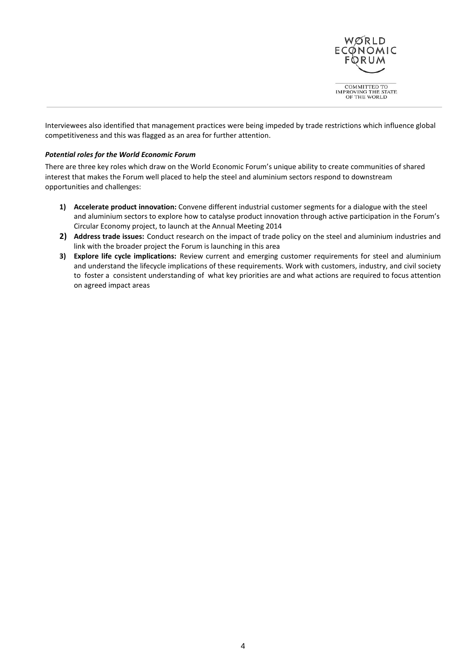

Interviewees also identified that management practices were being impeded by trade restrictions which influence global competitiveness and this was flagged as an area for further attention.

## <span id="page-3-0"></span>*Potential roles for the World Economic Forum*

There are three key roles which draw on the World Economic Forum's unique ability to create communities of shared interest that makes the Forum well placed to help the steel and aluminium sectors respond to downstream opportunities and challenges:

- **1) Accelerate product innovation:** Convene different industrial customer segments for a dialogue with the steel and aluminium sectors to explore how to catalyse product innovation through active participation in the Forum's Circular Economy project, to launch at the Annual Meeting 2014
- **2) Address trade issues:** Conduct research on the impact of trade policy on the steel and aluminium industries and link with the broader project the Forum is launching in this area
- **3) Explore life cycle implications:** Review current and emerging customer requirements for steel and aluminium and understand the lifecycle implications of these requirements. Work with customers, industry, and civil society to foster a consistent understanding of what key priorities are and what actions are required to focus attention on agreed impact areas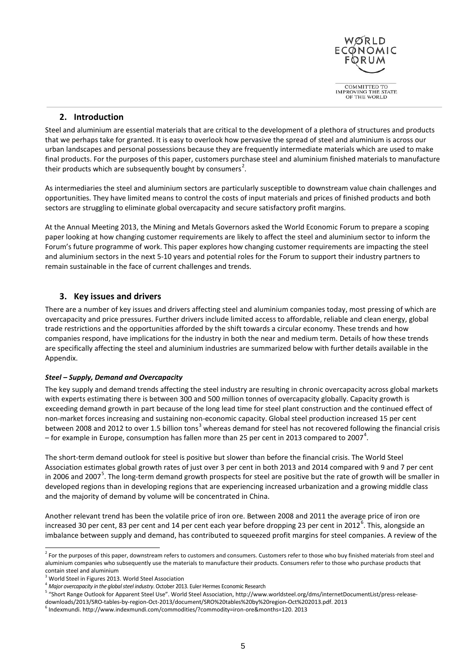

## **2. Introduction**

<span id="page-4-0"></span>Steel and aluminium are essential materials that are critical to the development of a plethora of structures and products that we perhaps take for granted. It is easy to overlook how pervasive the spread of steel and aluminium is across our urban landscapes and personal possessions because they are frequently intermediate materials which are used to make final products. For the purposes of this paper, customers purchase steel and aluminium finished materials to manufacture their products which are subsequently bought by consumers<sup>[2](#page-4-3)</sup>.

As intermediaries the steel and aluminium sectors are particularly susceptible to downstream value chain challenges and opportunities. They have limited means to control the costs of input materials and prices of finished products and both sectors are struggling to eliminate global overcapacity and secure satisfactory profit margins.

At the Annual Meeting 2013, the Mining and Metals Governors asked the World Economic Forum to prepare a scoping paper looking at how changing customer requirements are likely to affect the steel and aluminium sector to inform the Forum's future programme of work. This paper explores how changing customer requirements are impacting the steel and aluminium sectors in the next 5-10 years and potential roles for the Forum to support their industry partners to remain sustainable in the face of current challenges and trends.

## <span id="page-4-1"></span>**3. Key issues and drivers**

There are a number of key issues and drivers affecting steel and aluminium companies today, most pressing of which are overcapacity and price pressures. Further drivers include limited access to affordable, reliable and clean energy, global trade restrictions and the opportunities afforded by the shift towards a circular economy. These trends and how companies respond, have implications for the industry in both the near and medium term. Details of how these trends are specifically affecting the steel and aluminium industries are summarized below with further details available in the Appendix.

## <span id="page-4-2"></span>*Steel – Supply, Demand and Overcapacity*

The key supply and demand trends affecting the steel industry are resulting in chronic overcapacity across global markets with experts estimating there is between 300 and 500 million tonnes of overcapacity globally. Capacity growth is exceeding demand growth in part because of the long lead time for steel plant construction and the continued effect of non-market forces increasing and sustaining non-economic capacity. Global steel production increased 15 per cent between 2008 and 2012 to over 1.5 billion tons<sup>[3](#page-4-4)</sup> whereas demand for steel has not recovered following the financial crisis – for example in Europe, consumption has fallen more than 25 per cent in 2013 compared to 2007<sup>[4](#page-4-5)</sup>.

The short-term demand outlook for steel is positive but slower than before the financial crisis. The World Steel Association estimates global growth rates of just over 3 per cent in both 2013 and 2014 compared with 9 and 7 per cent in 2006 and 2007<sup>[5](#page-4-6)</sup>. The long-term demand growth prospects for steel are positive but the rate of growth will be smaller in developed regions than in developing regions that are experiencing increased urbanization and a growing middle class and the majority of demand by volume will be concentrated in China.

Another relevant trend has been the volatile price of iron ore. Between 2008 and 2011 the average price of iron ore increased 30 per cent, 83 per cent and 14 per cent each year before dropping 23 per cent in 2012<sup>[6](#page-4-7)</sup>. This, alongside an imbalance between supply and demand, has contributed to squeezed profit margins for steel companies. A review of the

<span id="page-4-3"></span><sup>&</sup>lt;sup>2</sup> For the purposes of this paper, downstream refers to customers and consumers. Customers refer to those who buy finished materials from steel and aluminium companies who subsequently use the materials to manufacture their products. Consumers refer to those who purchase products that

<span id="page-4-4"></span>contain steel and aluminium<br> $3$  World Steel in Figures 2013. World Steel Association

<span id="page-4-5"></span><sup>4</sup> *Major overcapacity in the global steel industry*. October 2013. Euler Hermes Economic Research

<span id="page-4-6"></span><sup>5</sup> "Short Range Outlook for Apparent Steel Use". World Steel Association, http://www.worldsteel.org/dms/internetDocumentList/press-release-

downloads/2013/SRO-tables-by-region-Oct-2013/document/SRO%20tables%20by%20region-Oct%202013.pdf. 2013

<span id="page-4-7"></span><sup>6</sup> Indexmundi. http://www.indexmundi.com/commodities/?commodity=iron-ore&months=120. 2013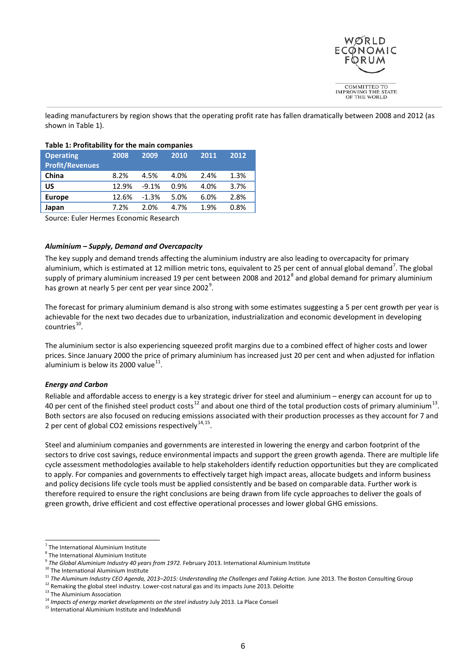

leading manufacturers by region shows that the operating profit rate has fallen dramatically between 2008 and 2012 (as shown in Table 1).

## **Table 1: Profitability for the main companies**

| <b>Operating</b><br><b>Profit/Revenues</b> | 2008  | 2009    | 2010 | 2011 | 2012 |
|--------------------------------------------|-------|---------|------|------|------|
| China                                      | 8.2%  | 4.5%    | 4.0% | 2.4% | 1.3% |
| บร                                         | 12.9% | $-9.1%$ | 0.9% | 4.0% | 3.7% |
| <b>Europe</b>                              | 12.6% | $-1.3%$ | 5.0% | 6.0% | 2.8% |
| Japan                                      | 7.2%  | 2.0%    | 4.7% | 1.9% | 0.8% |

Source: Euler Hermes Economic Research

## <span id="page-5-0"></span>*Aluminium – Supply, Demand and Overcapacity*

The key supply and demand trends affecting the aluminium industry are also leading to overcapacity for primary aluminium, which is estimated at 12 million metric tons, equivalent to 25 per cent of annual global demand<sup>[7](#page-5-2)</sup>. The global supply of primary aluminium increased 19 per cent between 200[8](#page-5-3) and 2012<sup>8</sup> and global demand for primary aluminium has grown at nearly 5 per cent per year since 2002<sup>[9](#page-5-4)</sup>.

The forecast for primary aluminium demand is also strong with some estimates suggesting a 5 per cent growth per year is achievable for the next two decades due to urbanization, industrialization and economic development in developing  $countries<sup>10</sup>$ .

The aluminium sector is also experiencing squeezed profit margins due to a combined effect of higher costs and lower prices. Since January 2000 the price of primary aluminium has increased just 20 per cent and when adjusted for inflation aluminium is below its 2000 value $^{11}$  $^{11}$  $^{11}$ .

## <span id="page-5-1"></span>*Energy and Carbon*

Reliable and affordable access to energy is a key strategic driver for steel and aluminium – energy can account for up to 40 per cent of the finished steel product costs<sup>[12](#page-5-7)</sup> and about one third of the total production costs of primary aluminium<sup>[13](#page-5-8)</sup>. Both sectors are also focused on reducing emissions associated with their production processes as they account for 7 and 2 per cent of global CO2 emissions respectively $^{14,15}$  $^{14,15}$  $^{14,15}$  $^{14,15}$ .

Steel and aluminium companies and governments are interested in lowering the energy and carbon footprint of the sectors to drive cost savings, reduce environmental impacts and support the green growth agenda. There are multiple life cycle assessment methodologies available to help stakeholders identify reduction opportunities but they are complicated to apply. For companies and governments to effectively target high impact areas, allocate budgets and inform business and policy decisions life cycle tools must be applied consistently and be based on comparable data. Further work is therefore required to ensure the right conclusions are being drawn from life cycle approaches to deliver the goals of green growth, drive efficient and cost effective operational processes and lower global GHG emissions.

<span id="page-5-2"></span><sup>7</sup> The International Aluminium Institute

<span id="page-5-3"></span> $^8$  The International Aluminium Institute<br> $^9$  The Global Aluminium Industry 40 years from 1972. February 2013. International Aluminium Institute

<span id="page-5-6"></span><span id="page-5-5"></span><span id="page-5-4"></span><sup>&</sup>lt;sup>10</sup> The International Aluminium Institute<br><sup>11</sup> The Aluminum Industry CEO Agenda, 2013–2015: Understanding the Challenges and Taking Action. June 2013. The Boston Consulting Group<br><sup>12</sup> Remaking the global steel industry.

<span id="page-5-9"></span><span id="page-5-8"></span><span id="page-5-7"></span><sup>&</sup>lt;sup>13</sup> The Aluminium Association<br><sup>14</sup> Impacts of energy market developments on the steel industry July 2013. La Place Conseil

<span id="page-5-10"></span><sup>15</sup> International Aluminium Institute and IndexMundi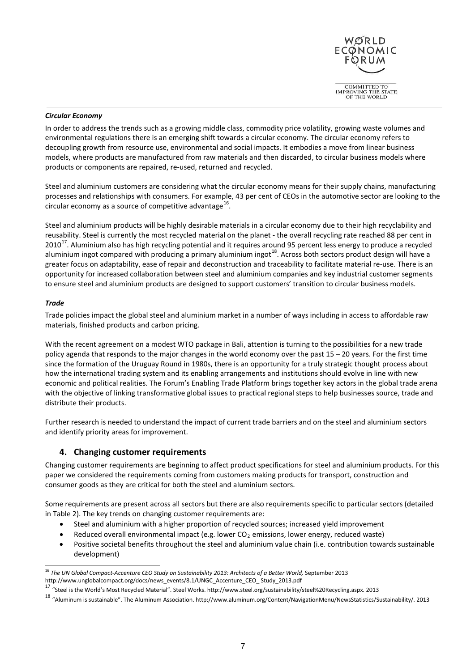

### <span id="page-6-0"></span>*Circular Economy*

In order to address the trends such as a growing middle class, commodity price volatility, growing waste volumes and environmental regulations there is an emerging shift towards a circular economy. The circular economy refers to decoupling growth from resource use, environmental and social impacts. It embodies a move from linear business models, where products are manufactured from raw materials and then discarded, to circular business models where products or components are repaired, re-used, returned and recycled.

Steel and aluminium customers are considering what the circular economy means for their supply chains, manufacturing processes and relationships with consumers. For example, 43 per cent of CEOs in the automotive sector are looking to the circular economy as a source of competitive advantage $^{16}$ .

Steel and aluminium products will be highly desirable materials in a circular economy due to their high recyclability and reusability. Steel is currently the most recycled material on the planet - the overall recycling rate reached 88 per cent in  $2010^{17}$ . Aluminium also has high recycling potential and it requires around 95 percent less energy to produce a recycled aluminium ingot compared with producing a primary aluminium ingot<sup>[18](#page-6-5)</sup>. Across both sectors product design will have a greater focus on adaptability, ease of repair and deconstruction and traceability to facilitate material re-use. There is an opportunity for increased collaboration between steel and aluminium companies and key industrial customer segments to ensure steel and aluminium products are designed to support customers' transition to circular business models.

### <span id="page-6-1"></span>*Trade*

Trade policies impact the global steel and aluminium market in a number of ways including in access to affordable raw materials, finished products and carbon pricing.

With the recent agreement on a modest WTO package in Bali, attention is turning to the possibilities for a new trade policy agenda that responds to the major changes in the world economy over the past 15 – 20 years. For the first time since the formation of the Uruguay Round in 1980s, there is an opportunity for a truly strategic thought process about how the international trading system and its enabling arrangements and institutions should evolve in line with new economic and political realities. The Forum's Enabling Trade Platform brings together key actors in the global trade arena with the objective of linking transformative global issues to practical regional steps to help businesses source, trade and distribute their products.

<span id="page-6-2"></span>Further research is needed to understand the impact of current trade barriers and on the steel and aluminium sectors and identify priority areas for improvement.

## **4. Changing customer requirements**

Changing customer requirements are beginning to affect product specifications for steel and aluminium products. For this paper we considered the requirements coming from customers making products for transport, construction and consumer goods as they are critical for both the steel and aluminium sectors.

Some requirements are present across all sectors but there are also requirements specific to particular sectors (detailed in Table 2). The key trends on changing customer requirements are:

- Steel and aluminium with a higher proportion of recycled sources; increased yield improvement
- Reduced overall environmental impact (e.g. lower  $CO<sub>2</sub>$  emissions, lower energy, reduced waste)
- Positive societal benefits throughout the steel and aluminium value chain (i.e. contribution towards sustainable development)

<span id="page-6-3"></span><sup>16</sup> *The UN Global Compact-Accenture CEO Study on Sustainability 2013: Architects of a Better World,* September 2013

<span id="page-6-4"></span>http://www.unglobalcompact.org/docs/news\_events/8.1/UNGC\_Accenture\_CEO\_ Study\_2013.pdf<br><sup>17</sup> "Steel is the World's Most Recycled Material". Steel Works. http://www.steel.org/sustainability/steel%20Recycling.aspx. 2013

<span id="page-6-5"></span><sup>18</sup> "Aluminum is sustainable". The Aluminum Association. http://www.aluminum.org/Content/NavigationMenu/NewsStatistics/Sustainability/. 2013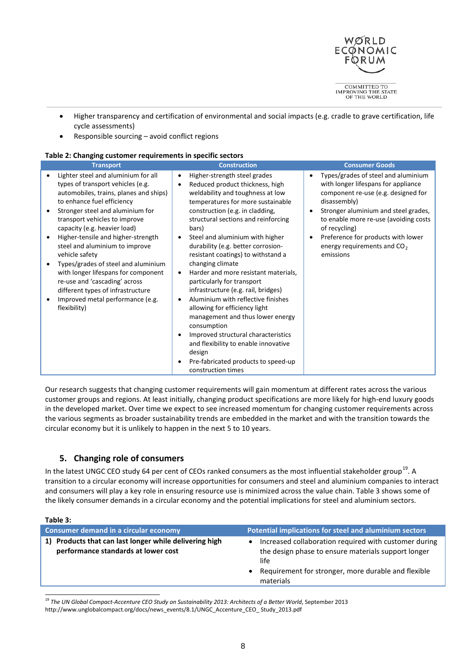

- Higher transparency and certification of environmental and social impacts (e.g. cradle to grave certification, life cycle assessments)
- Responsible sourcing avoid conflict regions

## **Table 2: Changing customer requirements in specific sectors**

| <b>Transport</b>                                                                                                                                                                                                                                                                                                                                                                                                                                                                                                                                        | <b>Construction</b>                                                                                                                                                                                                                                                                                                                                                                                                                                                                                                                                                                                                                                                                                                                                                                                          | <b>Consumer Goods</b>                                                                                                                                                                                                                                                                                                             |
|---------------------------------------------------------------------------------------------------------------------------------------------------------------------------------------------------------------------------------------------------------------------------------------------------------------------------------------------------------------------------------------------------------------------------------------------------------------------------------------------------------------------------------------------------------|--------------------------------------------------------------------------------------------------------------------------------------------------------------------------------------------------------------------------------------------------------------------------------------------------------------------------------------------------------------------------------------------------------------------------------------------------------------------------------------------------------------------------------------------------------------------------------------------------------------------------------------------------------------------------------------------------------------------------------------------------------------------------------------------------------------|-----------------------------------------------------------------------------------------------------------------------------------------------------------------------------------------------------------------------------------------------------------------------------------------------------------------------------------|
| Lighter steel and aluminium for all<br>types of transport vehicles (e.g.<br>automobiles, trains, planes and ships)<br>to enhance fuel efficiency<br>Stronger steel and aluminium for<br>transport vehicles to improve<br>capacity (e.g. heavier load)<br>Higher-tensile and higher-strength<br>steel and aluminium to improve<br>vehicle safety<br>Types/grades of steel and aluminium<br>with longer lifespans for component<br>re-use and 'cascading' across<br>different types of infrastructure<br>Improved metal performance (e.g.<br>flexibility) | Higher-strength steel grades<br>٠<br>Reduced product thickness, high<br>$\bullet$<br>weldability and toughness at low<br>temperatures for more sustainable<br>construction (e.g. in cladding,<br>structural sections and reinforcing<br>bars)<br>Steel and aluminium with higher<br>$\bullet$<br>durability (e.g. better corrosion-<br>resistant coatings) to withstand a<br>changing climate<br>Harder and more resistant materials,<br>$\bullet$<br>particularly for transport<br>infrastructure (e.g. rail, bridges)<br>Aluminium with reflective finishes<br>allowing for efficiency light<br>management and thus lower energy<br>consumption<br>Improved structural characteristics<br>٠<br>and flexibility to enable innovative<br>design<br>Pre-fabricated products to speed-up<br>construction times | Types/grades of steel and aluminium<br>with longer lifespans for appliance<br>component re-use (e.g. designed for<br>disassembly)<br>Stronger aluminium and steel grades,<br>to enable more re-use (avoiding costs<br>of recycling)<br>Preference for products with lower<br>energy requirements and CO <sub>2</sub><br>emissions |

Our research suggests that changing customer requirements will gain momentum at different rates across the various customer groups and regions. At least initially, changing product specifications are more likely for high-end luxury goods in the developed market. Over time we expect to see increased momentum for changing customer requirements across the various segments as broader sustainability trends are embedded in the market and with the transition towards the circular economy but it is unlikely to happen in the next 5 to 10 years.

## <span id="page-7-0"></span>**5. Changing role of consumers**

In the latest UNGC CEO study 64 per cent of CEOs ranked consumers as the most influential stakeholder group<sup>[19](#page-7-1)</sup>. A transition to a circular economy will increase opportunities for consumers and steel and aluminium companies to interact and consumers will play a key role in ensuring resource use is minimized across the value chain. Table 3 shows some of the likely consumer demands in a circular economy and the potential implications for steel and aluminium sectors.

#### **Table 3:**

| <b>Consumer demand in a circular economy</b>                                                     | Potential implications for steel and aluminium sectors                                                                                                                                   |
|--------------------------------------------------------------------------------------------------|------------------------------------------------------------------------------------------------------------------------------------------------------------------------------------------|
| Products that can last longer while delivering high<br>1)<br>performance standards at lower cost | Increased collaboration required with customer during<br>the design phase to ensure materials support longer<br>life<br>Requirement for stronger, more durable and flexible<br>materials |
|                                                                                                  |                                                                                                                                                                                          |

<span id="page-7-1"></span><sup>19</sup> The UN Global Compact-Accenture CEO Study on Sustainability 2013: Architects of a Better World, September 2013 http://www.unglobalcompact.org/docs/news\_events/8.1/UNGC\_Accenture\_CEO\_ Study\_2013.pdf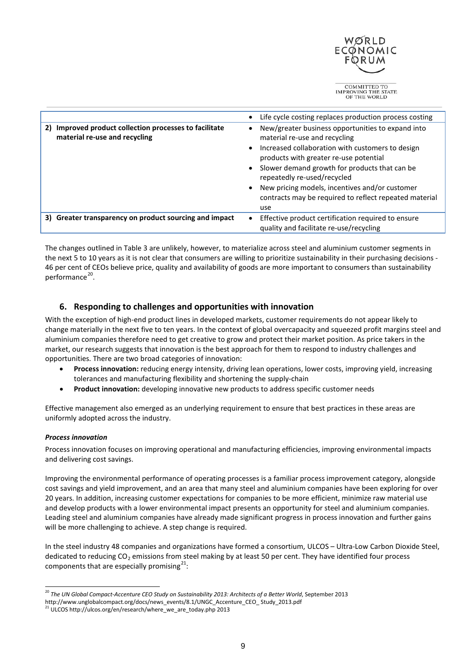

|                                                                                         | Life cycle costing replaces production process costing                                                                                                                                                                                                                                                                                                                              |
|-----------------------------------------------------------------------------------------|-------------------------------------------------------------------------------------------------------------------------------------------------------------------------------------------------------------------------------------------------------------------------------------------------------------------------------------------------------------------------------------|
| 2) Improved product collection processes to facilitate<br>material re-use and recycling | New/greater business opportunities to expand into<br>material re-use and recycling<br>Increased collaboration with customers to design<br>products with greater re-use potential<br>Slower demand growth for products that can be<br>repeatedly re-used/recycled<br>New pricing models, incentives and/or customer<br>contracts may be required to reflect repeated material<br>use |
| 3) Greater transparency on product sourcing and impact                                  | Effective product certification required to ensure<br>quality and facilitate re-use/recycling                                                                                                                                                                                                                                                                                       |

The changes outlined in Table 3 are unlikely, however, to materialize across steel and aluminium customer segments in the next 5 to 10 years as it is not clear that consumers are willing to prioritize sustainability in their purchasing decisions - 46 per cent of CEOs believe price, quality and availability of goods are more important to consumers than sustainability performance<sup>[20](#page-8-2)</sup>.

## <span id="page-8-0"></span>**6. Responding to challenges and opportunities with innovation**

With the exception of high-end product lines in developed markets, customer requirements do not appear likely to change materially in the next five to ten years. In the context of global overcapacity and squeezed profit margins steel and aluminium companies therefore need to get creative to grow and protect their market position. As price takers in the market, our research suggests that innovation is the best approach for them to respond to industry challenges and opportunities. There are two broad categories of innovation:

- **Process innovation:** reducing energy intensity, driving lean operations, lower costs, improving yield, increasing tolerances and manufacturing flexibility and shortening the supply-chain
- **Product innovation:** developing innovative new products to address specific customer needs

Effective management also emerged as an underlying requirement to ensure that best practices in these areas are uniformly adopted across the industry.

## <span id="page-8-1"></span>*Process innovation*

Process innovation focuses on improving operational and manufacturing efficiencies, improving environmental impacts and delivering cost savings.

Improving the environmental performance of operating processes is a familiar process improvement category, alongside cost savings and yield improvement, and an area that many steel and aluminium companies have been exploring for over 20 years. In addition, increasing customer expectations for companies to be more efficient, minimize raw material use and develop products with a lower environmental impact presents an opportunity for steel and aluminium companies. Leading steel and aluminium companies have already made significant progress in process innovation and further gains will be more challenging to achieve. A step change is required.

In the steel industry 48 companies and organizations have formed a consortium, ULCOS – Ultra-Low Carbon Dioxide Steel, dedicated to reducing  $CO<sub>2</sub>$  emissions from steel making by at least 50 per cent. They have identified four process components that are especially promising $^{21}$  $^{21}$  $^{21}$ :

<span id="page-8-2"></span><sup>&</sup>lt;sup>20</sup> The UN Global Compact-Accenture CEO Study on Sustainability 2013: Architects of a Better World, September 2013

http://www.unglobalcompact.org/docs/news\_events/8.1/UNGC\_Accenture\_CEO\_ Study\_2013.pdf

<span id="page-8-3"></span><sup>21</sup> ULCOS http://ulcos.org/en/research/where\_we\_are\_today.php 2013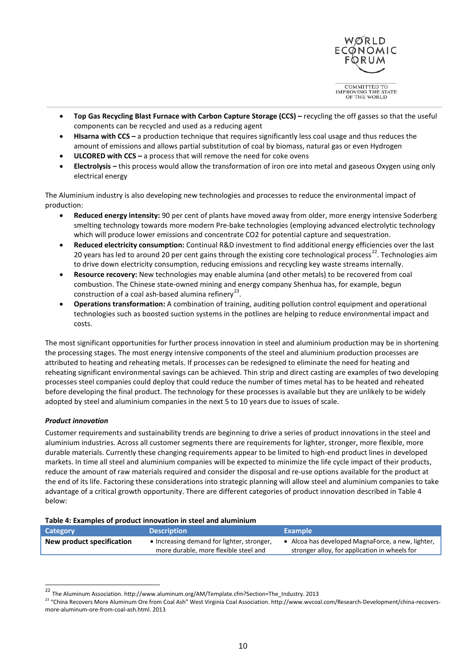

OF THE WORLD

- **Top Gas Recycling Blast Furnace with Carbon Capture Storage (CCS) –** recycling the off gasses so that the useful components can be recycled and used as a reducing agent
- **[HIsarna with CCS](http://www.ulcos.org/en/research/isarna.php) –** a production technique that requires significantly less coal usage and thus reduces the amount of emissions and allows partial substitution of coal by biomass, natural gas or even Hydrogen
- **[ULCORED with CCS](http://www.ulcos.org/en/research/advanced_direct_reduction.php) –** a process that will remove the need for coke ovens
- **[Electrolysis](http://www.ulcos.org/en/research/electrolysis.php) –** this process would allow the transformation of iron ore into metal and gaseous Oxygen using only electrical energy

The Aluminium industry is also developing new technologies and processes to reduce the environmental impact of production:

- **Reduced energy intensity:** 90 per cent of plants have moved away from older, more energy intensive Soderberg smelting technology towards more modern Pre-bake technologies (employing advanced electrolytic technology which will produce lower emissions and concentrate CO2 for potential capture and sequestration.
- **Reduced electricity consumption:** Continual R&D investment to find additional energy efficiencies over the last 20 years has led to around 20 per cent gains through the existing core technological process<sup>22</sup>. Technologies aim to drive down electricity consumption, reducing emissions and recycling key waste streams internally.
- **Resource recovery:** New technologies may enable alumina (and other metals) to be recovered from coal combustion. The Chinese state-owned mining and energy company Shenhua has, for example, begun construction of a coal ash-based alumina refinery<sup>[23](#page-9-2)</sup>.
- **Operations transformation:** A combination of training, auditing pollution control equipment and operational technologies such as boosted suction systems in the potlines are helping to reduce environmental impact and costs.

The most significant opportunities for further process innovation in steel and aluminium production may be in shortening the processing stages. The most energy intensive components of the steel and aluminium production processes are attributed to heating and reheating metals. If processes can be redesigned to eliminate the need for heating and reheating significant environmental savings can be achieved. Thin strip and direct casting are examples of two developing processes steel companies could deploy that could reduce the number of times metal has to be heated and reheated before developing the final product. The technology for these processes is available but they are unlikely to be widely adopted by steel and aluminium companies in the next 5 to 10 years due to issues of scale.

## <span id="page-9-0"></span>*Product innovation*

Customer requirements and sustainability trends are beginning to drive a series of product innovations in the steel and aluminium industries. Across all customer segments there are requirements for lighter, stronger, more flexible, more durable materials. Currently these changing requirements appear to be limited to high-end product lines in developed markets. In time all steel and aluminium companies will be expected to minimize the life cycle impact of their products, reduce the amount of raw materials required and consider the disposal and re-use options available for the product at the end of its life. Factoring these considerations into strategic planning will allow steel and aluminium companies to take advantage of a critical growth opportunity. There are different categories of product innovation described in Table 4 below:

| Category                  | <b>Description</b>                                                                  | <b>Example</b>                                                                                   |
|---------------------------|-------------------------------------------------------------------------------------|--------------------------------------------------------------------------------------------------|
| New product specification | • Increasing demand for lighter, stronger,<br>more durable, more flexible steel and | Alcoa has developed MagnaForce, a new, lighter,<br>stronger alloy, for application in wheels for |

<span id="page-9-1"></span><sup>22</sup> The Aluminum Association. http://www.aluminum.org/AM/Template.cfm?Section=The\_Industry. 2013

<span id="page-9-2"></span><sup>&</sup>lt;sup>23</sup> "China Recovers More Aluminum Ore from Coal Ash" West Virginia Coal Association. http://www.wvcoal.com/Research-Development/china-recoversmore-aluminum-ore-from-coal-ash.html. 2013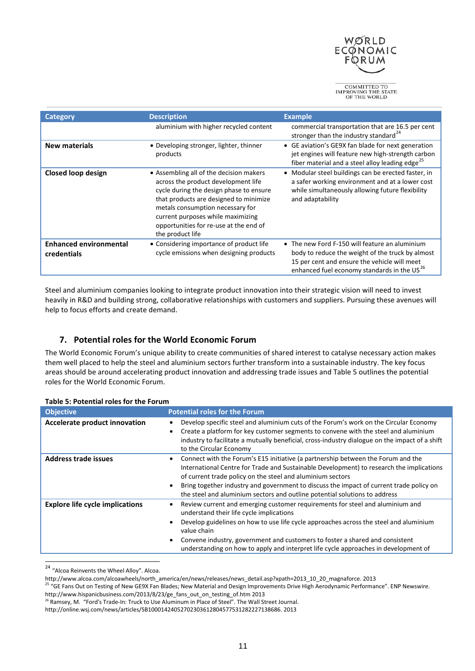

| Category                                     | <b>Description</b>                                                                                                                                                                                                                                                                                         | <b>Example</b>                                                                                                                                                                                                |
|----------------------------------------------|------------------------------------------------------------------------------------------------------------------------------------------------------------------------------------------------------------------------------------------------------------------------------------------------------------|---------------------------------------------------------------------------------------------------------------------------------------------------------------------------------------------------------------|
|                                              | aluminium with higher recycled content                                                                                                                                                                                                                                                                     | commercial transportation that are 16.5 per cent<br>stronger than the industry standard <sup>24</sup>                                                                                                         |
| <b>New materials</b>                         | • Developing stronger, lighter, thinner<br>products                                                                                                                                                                                                                                                        | • GE aviation's GE9X fan blade for next generation<br>jet engines will feature new high-strength carbon<br>fiber material and a steel alloy leading edge <sup>25</sup>                                        |
| Closed loop design                           | • Assembling all of the decision makers<br>across the product development life<br>cycle during the design phase to ensure<br>that products are designed to minimize<br>metals consumption necessary for<br>current purposes while maximizing<br>opportunities for re-use at the end of<br>the product life | • Modular steel buildings can be erected faster, in<br>a safer working environment and at a lower cost<br>while simultaneously allowing future flexibility<br>and adaptability                                |
| <b>Enhanced environmental</b><br>credentials | • Considering importance of product life<br>cycle emissions when designing products                                                                                                                                                                                                                        | • The new Ford F-150 will feature an aluminium<br>body to reduce the weight of the truck by almost<br>15 per cent and ensure the vehicle will meet<br>enhanced fuel economy standards in the US <sup>26</sup> |

Steel and aluminium companies looking to integrate product innovation into their strategic vision will need to invest heavily in R&D and building strong, collaborative relationships with customers and suppliers. Pursuing these avenues will help to focus efforts and create demand.

## <span id="page-10-0"></span>**7. Potential roles for the World Economic Forum**

The World Economic Forum's unique ability to create communities of shared interest to catalyse necessary action makes them well placed to help the steel and aluminium sectors further transform into a sustainable industry. The key focus areas should be around accelerating product innovation and addressing trade issues and Table 5 outlines the potential roles for the World Economic Forum.

| <b>Objective</b>                       | <b>Potential roles for the Forum</b>                                                                                                                                                                                                                                                                                                                                                                                                            |
|----------------------------------------|-------------------------------------------------------------------------------------------------------------------------------------------------------------------------------------------------------------------------------------------------------------------------------------------------------------------------------------------------------------------------------------------------------------------------------------------------|
| Accelerate product innovation          | Develop specific steel and aluminium cuts of the Forum's work on the Circular Economy<br>٠<br>Create a platform for key customer segments to convene with the steel and aluminium<br>$\bullet$<br>industry to facilitate a mutually beneficial, cross-industry dialogue on the impact of a shift<br>to the Circular Economy                                                                                                                     |
| <b>Address trade issues</b>            | Connect with the Forum's E15 initiative (a partnership between the Forum and the<br>٠<br>International Centre for Trade and Sustainable Development) to research the implications<br>of current trade policy on the steel and aluminium sectors<br>Bring together industry and government to discuss the impact of current trade policy on<br>$\bullet$<br>the steel and aluminium sectors and outline potential solutions to address           |
| <b>Explore life cycle implications</b> | Review current and emerging customer requirements for steel and aluminium and<br>$\bullet$<br>understand their life cycle implications<br>Develop guidelines on how to use life cycle approaches across the steel and aluminium<br>$\bullet$<br>value chain<br>Convene industry, government and customers to foster a shared and consistent<br>$\bullet$<br>understanding on how to apply and interpret life cycle approaches in development of |

#### **Table 5: Potential roles for the Forum**

<span id="page-10-1"></span><sup>&</sup>lt;sup>24</sup> "Alcoa Reinvents the Wheel Alloy". Alcoa.

http://www.alcoa.com/alcoawheels/north\_america/en/news/releases/news\_detail.asp?xpath=2013\_10\_20\_magnaforce. 2013

<span id="page-10-2"></span><sup>&</sup>lt;sup>25</sup> "GE Fans Out on Testing of New GE9X Fan Blades; New Material and Design Improvements Drive High Aerodynamic Performance". ENP Newswire. http://www.hispanicbusiness.com/2013/8/23/ge\_fans\_out\_on\_testing\_of.htm 2013

<sup>&</sup>lt;sup>26</sup> Ramsey, M. "Ford's Trade-In: Truck to Use Aluminum in Place of Steel". The Wall Street Journal.

<span id="page-10-3"></span>http://online.wsj.com/news/articles/SB10001424052702303612804577531282227138686. 2013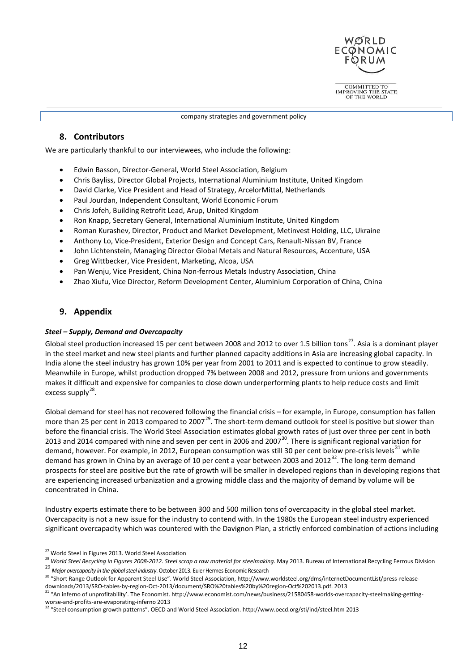

company strategies and government policy

## <span id="page-11-0"></span>**8. Contributors**

We are particularly thankful to our interviewees, who include the following:

- Edwin Basson, Director-General, World Steel Association, Belgium
- Chris Bayliss, Director Global Projects, International Aluminium Institute, United Kingdom
- David Clarke, Vice President and Head of Strategy, ArcelorMittal, Netherlands
- Paul Jourdan, Independent Consultant, World Economic Forum
- Chris Jofeh, Building Retrofit Lead, Arup, United Kingdom
- Ron Knapp, Secretary General, International Aluminium Institute, United Kingdom
- Roman Kurashev, Director, Product and Market Development, Metinvest Holding, LLC, Ukraine
- Anthony Lo, Vice-President, Exterior Design and Concept Cars, Renault-Nissan BV, France
- John Lichtenstein, Managing Director Global Metals and Natural Resources, Accenture, USA
- Greg Wittbecker, Vice President, Marketing, Alcoa, USA
- Pan Wenju, Vice President, China Non-ferrous Metals Industry Association, China
- Zhao Xiufu, Vice Director, Reform Development Center, Aluminium Corporation of China, China

## <span id="page-11-1"></span>**9. Appendix**

#### <span id="page-11-2"></span>*Steel – Supply, Demand and Overcapacity*

Global steel production increased 15 per cent between 2008 and 2012 to over 1.5 billion tons<sup>[27](#page-11-3)</sup>. Asia is a dominant player in the steel market and new steel plants and further planned capacity additions in Asia are increasing global capacity. In India alone the steel industry has grown 10% per year from 2001 to 2011 and is expected to continue to grow steadily. Meanwhile in Europe, whilst production dropped 7% between 2008 and 2012, pressure from unions and governments makes it difficult and expensive for companies to close down underperforming plants to help reduce costs and limit excess supply $^{28}$ .

Global demand for steel has not recovered following the financial crisis – for example, in Europe, consumption has fallen more than 25 per cent in 2013 compared to 2007<sup>[29](#page-11-5)</sup>. The short-term demand outlook for steel is positive but slower than before the financial crisis. The World Steel Association estimates global growth rates of just over three per cent in both 2013 and 2014 compared with nine and seven per cent in 2006 and 2007 $^{30}$ . There is significant regional variation for demand, however. For example, in 2012, European consumption was still 30 per cent below pre-crisis levels<sup>[31](#page-11-7)</sup> while demand has grown in China by an average of 10 per cent a year between 2003 and 2012<sup>[32](#page-11-8)</sup>. The long-term demand prospects for steel are positive but the rate of growth will be smaller in developed regions than in developing regions that are experiencing increased urbanization and a growing middle class and the majority of demand by volume will be concentrated in China.

Industry experts estimate there to be between 300 and 500 million tons of overcapacity in the global steel market. Overcapacity is not a new issue for the industry to contend with. In the 1980s the European steel industry experienced significant overcapacity which was countered with the Davignon Plan, a strictly enforced combination of actions including

<span id="page-11-5"></span>

<span id="page-11-4"></span><span id="page-11-3"></span><sup>&</sup>lt;sup>27</sup> World Steel in Figures 2013. World Steel Association<br><sup>28</sup> World Steel Recycling in Figures 2008-2012. Steel scrap a raw material for steelmaking. May 2013. Bureau of International Recycling Ferrous Division<br><sup>29</sup> Maior

<span id="page-11-6"></span><sup>&</sup>lt;sup>30</sup> "Short Range Outlook for Apparent Steel Use". World Steel Association, http://www.worldsteel.org/dms/internetDocumentList/press-release-

<span id="page-11-7"></span>downloads/2013/SRO-tables-by-region-Oct-2013/document/SRO%20tables%20by%20region-Oct%202013.pdf. 2013<br><sup>31</sup> "An inferno of unprofitability'. The Economist. http://www.economist.com/news/business/21580458-worlds-overcapacity worse-and-profits-are-evaporating-inferno 2013

<span id="page-11-8"></span><sup>32</sup> "Steel consumption growth patterns". OECD and World Steel Association. http://www.oecd.org/sti/ind/steel.htm 2013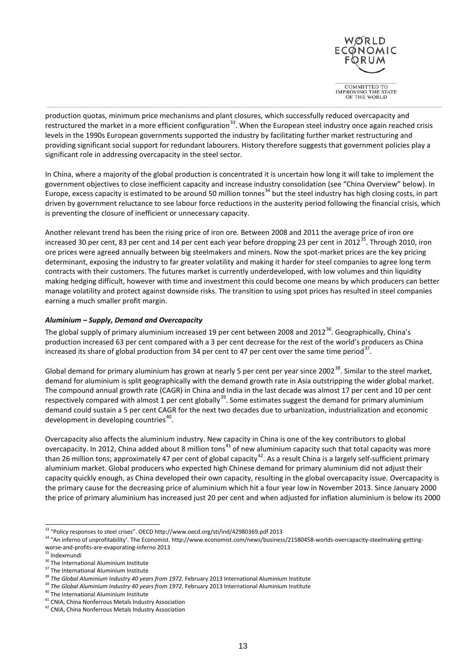

OF THE WORLD

production quotas, minimum price mechanisms and plant closures, which successfully reduced overcapacity and restructured the market in a more efficient configuration<sup>[33](#page-12-1)</sup>. When the European steel industry once again reached crisis levels in the 1990s European governments supported the industry by facilitating further market restructuring and providing significant social support for redundant labourers. History therefore suggests that government policies play a significant role in addressing overcapacity in the steel sector.

In China, where a majority of the global production is concentrated it is uncertain how long it will take to implement the government objectives to close inefficient capacity and increase industry consolidation (see "China Overview" below). In Europe, excess capacity is estimated to be around 50 million tonnes<sup>[34](#page-12-2)</sup> but the steel industry has high closing costs, in part driven by government reluctance to see labour force reductions in the austerity period following the financial crisis, which is preventing the closure of inefficient or unnecessary capacity.

Another relevant trend has been the rising price of iron ore. Between 2008 and 2011 the average price of iron ore increased 30 per cent, 83 per cent and 14 per cent each year before dropping 23 per cent in 2012<sup>35</sup>. Through 2010, iron ore prices were agreed annually between big steelmakers and miners. Now the spot-market prices are the key pricing determinant, exposing the industry to far greater volatility and making it harder for steel companies to agree long term contracts with their customers. The futures market is currently underdeveloped, with low volumes and thin liquidity making hedging difficult, however with time and investment this could become one means by which producers can better manage volatility and protect against downside risks. The transition to using spot prices has resulted in steel companies earning a much smaller profit margin.

## <span id="page-12-0"></span>*Aluminium – Supply, Demand and Overcapacity*

The global supply of primary aluminium increased 19 per cent between 2008 and 2012<sup>[36](#page-12-4)</sup>. Geographically, China's production increased 63 per cent compared with a 3 per cent decrease for the rest of the world's producers as China increased its share of global production from 34 per cent to 47 per cent over the same time period<sup>37</sup>.

Global demand for primary aluminium has grown at nearly 5 per cent per year since 2002<sup>38</sup>. Similar to the steel market, demand for aluminium is split geographically with the demand growth rate in Asia outstripping the wider global market. The compound annual growth rate (CAGR) in China and India in the last decade was almost 17 per cent and 10 per cent respectively compared with almost 1 per cent globally<sup>[39](#page-12-7)</sup>. Some estimates suggest the demand for primary aluminium demand could sustain a 5 per cent CAGR for the next two decades due to urbanization, industrialization and economic development in developing countries<sup>40</sup>.

Overcapacity also affects the aluminium industry. New capacity in China is one of the key contributors to global overcapacity. In 2012, China added about 8 million tons<sup>[41](#page-12-9)</sup> of new aluminium capacity such that total capacity was more than 26 million tons; approximately 47 per cent of global capacity<sup>42</sup>. As a result China is a largely self-sufficient primary aluminium market. Global producers who expected high Chinese demand for primary aluminium did not adjust their capacity quickly enough, as China developed their own capacity, resulting in the global overcapacity issue. Overcapacity is the primary cause for the decreasing price of aluminium which hit a four year low in November 2013. Since January 2000 the price of primary aluminium has increased just 20 per cent and when adjusted for inflation aluminium is below its 2000

<span id="page-12-2"></span><span id="page-12-1"></span><sup>&</sup>lt;sup>33</sup> "Policy responses to steel crises". OECD http://www.oecd.org/sti/ind/42980369.pdf 2013<br><sup>34</sup> "An inferno of unprofitability'. The Economist. http://www.economist.com/news/business/21580458-worlds-overcapacity-steelmaki worse-and-profits-are-evaporating-inferno 2013<br>
<sup>35</sup> Indexmundi<br>
<sup>36</sup> The International Aluminium Institute

<span id="page-12-3"></span>

<span id="page-12-5"></span><span id="page-12-4"></span><sup>&</sup>lt;sup>37</sup> The International Aluminium Institute<br><sup>38</sup> The Global Aluminium Industry 40 years from 1972. February 2013 International Aluminium Institute

<span id="page-12-8"></span><span id="page-12-7"></span><span id="page-12-6"></span><sup>&</sup>lt;sup>39</sup> The Global Aluminium Industry 40 years from 1972. February 2013 International Aluminium Institute <sup>40</sup> The International Aluminium Institute <sup>41</sup> CNIA, China Nonferrous Metals Industry Association

<span id="page-12-9"></span>

<span id="page-12-10"></span><sup>&</sup>lt;sup>42</sup> CNIA, China Nonferrous Metals Industry Association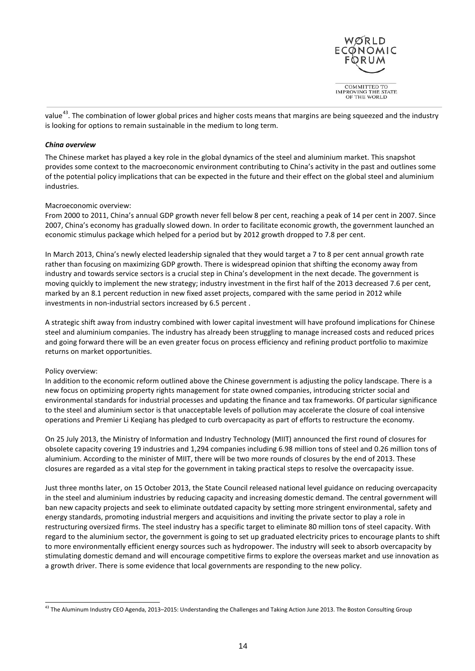

value<sup>[43](#page-13-1)</sup>. The combination of lower global prices and higher costs means that margins are being squeezed and the industry is looking for options to remain sustainable in the medium to long term.

## <span id="page-13-0"></span>*China overview*

The Chinese market has played a key role in the global dynamics of the steel and aluminium market. This snapshot provides some context to the macroeconomic environment contributing to China's activity in the past and outlines some of the potential policy implications that can be expected in the future and their effect on the global steel and aluminium industries.

### Macroeconomic overview:

From 2000 to 2011, China's annual GDP growth never fell below 8 per cent, reaching a peak of 14 per cent in 2007. Since 2007, China's economy has gradually slowed down. In order to facilitate economic growth, the government launched an economic stimulus package which helped for a period but by 2012 growth dropped to 7.8 per cent.

In March 2013, China's newly elected leadership signaled that they would target a 7 to 8 per cent annual growth rate rather than focusing on maximizing GDP growth. There is widespread opinion that shifting the economy away from industry and towards service sectors is a crucial step in China's development in the next decade. The government is moving quickly to implement the new strategy; industry investment in the first half of the 2013 decreased 7.6 per cent, marked by an 8.1 percent reduction in new fixed asset projects, compared with the same period in 2012 while investments in non-industrial sectors increased by 6.5 percent .

A strategic shift away from industry combined with lower capital investment will have profound implications for Chinese steel and aluminium companies. The industry has already been struggling to manage increased costs and reduced prices and going forward there will be an even greater focus on process efficiency and refining product portfolio to maximize returns on market opportunities.

## Policy overview:

In addition to the economic reform outlined above the Chinese government is adjusting the policy landscape. There is a new focus on optimizing property rights management for state owned companies, introducing stricter social and environmental standards for industrial processes and updating the finance and tax frameworks. Of particular significance to the steel and aluminium sector is that unacceptable levels of pollution may accelerate the closure of coal intensive operations and Premier Li Keqiang has pledged to curb overcapacity as part of efforts to restructure the economy.

On 25 July 2013, the Ministry of Information and Industry Technology (MIIT) announced the first round of closures for obsolete capacity covering 19 industries and 1,294 companies including 6.98 million tons of steel and 0.26 million tons of aluminium. According to the minister of MIIT, there will be two more rounds of closures by the end of 2013. These closures are regarded as a vital step for the government in taking practical steps to resolve the overcapacity issue.

Just three months later, on 15 October 2013, the State Council released national level guidance on reducing overcapacity in the steel and aluminium industries by reducing capacity and increasing domestic demand. The central government will ban new capacity projects and seek to eliminate outdated capacity by setting more stringent environmental, safety and energy standards, promoting industrial mergers and acquisitions and inviting the private sector to play a role in restructuring oversized firms. The steel industry has a specific target to eliminate 80 million tons of steel capacity. With regard to the aluminium sector, the government is going to set up graduated electricity prices to encourage plants to shift to more environmentally efficient energy sources such as hydropower. The industry will seek to absorb overcapacity by stimulating domestic demand and will encourage competitive firms to explore the overseas market and use innovation as a growth driver. There is some evidence that local governments are responding to the new policy.

<span id="page-13-1"></span><sup>&</sup>lt;sup>43</sup> The Aluminum Industry CEO Agenda, 2013–2015: Understanding the Challenges and Taking Action June 2013. The Boston Consulting Group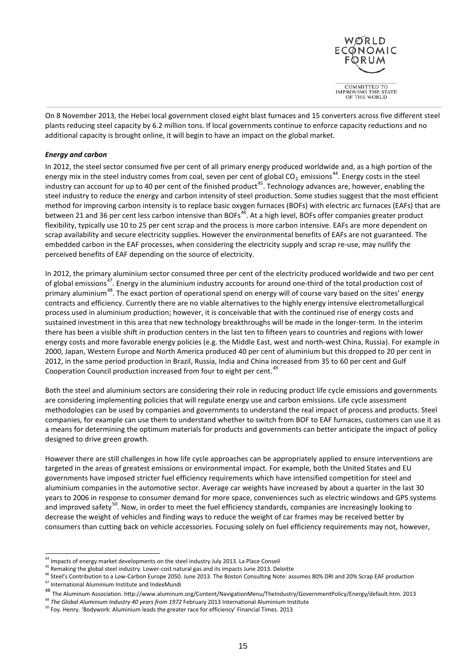

On 8 November 2013, the Hebei local government closed eight blast furnaces and 15 converters across five different steel plants reducing steel capacity by 6.2 million tons. If local governments continue to enforce capacity reductions and no additional capacity is brought online, it will begin to have an impact on the global market.

## <span id="page-14-0"></span>*Energy and carbon*

In 2012, the steel sector consumed five per cent of all primary energy produced worldwide and, as a high portion of the energy mix in the steel industry comes from coal, seven per cent of global CO<sub>2</sub> emissions<sup>44</sup>. Energy costs in the steel industry can account for up to 40 per cent of the finished product<sup>45</sup>. Technology advances are, however, enabling the steel industry to reduce the energy and carbon intensity of steel production. Some studies suggest that the most efficient method for improving carbon intensity is to replace basic oxygen furnaces (BOFs) with electric arc furnaces (EAFs) that are between 21 and 36 per cent less carbon intensive than BOFs<sup>46</sup>. At a high level, BOFs offer companies greater product flexibility, typically use 10 to 25 per cent scrap and the process is more carbon intensive. EAFs are more dependent on scrap availability and secure electricity supplies. However the environmental benefits of EAFs are not guaranteed. The embedded carbon in the EAF processes, when considering the electricity supply and scrap re-use, may nullify the perceived benefits of EAF depending on the source of electricity.

In 2012, the primary aluminium sector consumed three per cent of the electricity produced worldwide and two per cent of global emissions<sup>47</sup>. Energy in the aluminium industry accounts for around one-third of the total production cost of primary aluminium<sup>[48](#page-14-5)</sup>. The exact portion of operational spend on energy will of course vary based on the sites' energy contracts and efficiency. Currently there are no viable alternatives to the highly energy intensive electrometallurgical process used in aluminium production; however, it is conceivable that with the continued rise of energy costs and sustained investment in this area that new technology breakthroughs will be made in the longer-term. In the interim there has been a visible shift in production centers in the last ten to fifteen years to countries and regions with lower energy costs and more favorable energy policies (e.g. the Middle East, west and north-west China, Russia). For example in 2000, Japan, Western Europe and North America produced 40 per cent of aluminium but this dropped to 20 per cent in 2012, in the same period production in Brazil, Russia, India and China increased from 35 to 60 per cent and Gulf Cooperation Council production increased from four to eight per cent.<sup>[49](#page-14-6)</sup>

Both the steel and aluminium sectors are considering their role in reducing product life cycle emissions and governments are considering implementing policies that will regulate energy use and carbon emissions. Life cycle assessment methodologies can be used by companies and governments to understand the real impact of process and products. Steel companies, for example can use them to understand whether to switch from BOF to EAF furnaces, customers can use it as a means for determining the optimum materials for products and governments can better anticipate the impact of policy designed to drive green growth.

However there are still challenges in how life cycle approaches can be appropriately applied to ensure interventions are targeted in the areas of greatest emissions or environmental impact. For example, both the United States and EU governments have imposed stricter fuel efficiency requirements which have intensified competition for steel and aluminium companies in the automotive sector. Average car weights have increased by about a quarter in the last 30 years to 2006 in response to consumer demand for more space, conveniences such as electric windows and GPS systems and improved safety<sup>[50](#page-14-7)</sup>. Now, in order to meet the fuel efficiency standards, companies are increasingly looking to decrease the weight of vehicles and finding ways to reduce the weight of car frames may be received better by consumers than cutting back on vehicle accessories. Focusing solely on fuel efficiency requirements may not, however,

<span id="page-14-1"></span><sup>&</sup>lt;sup>44</sup> Impacts of energy market developments on the steel industry July 2013. La Place Conseil<br><sup>45</sup> Remaking the global steel industry. Lower-cost natural gas and its impacts June 2013. Deloitte

<span id="page-14-4"></span><span id="page-14-3"></span><span id="page-14-2"></span><sup>&</sup>lt;sup>46</sup> Steel's Contribution to a Low-Carbon Europe 2050. June 2013. The Boston Consulting Note: assumes 80% DRI and 20% Scrap EAF production<br><sup>47</sup> International Aluminium Institute and IndexMundi<br><sup>48</sup> The Aluminum Association

<span id="page-14-5"></span>

<span id="page-14-6"></span><sup>49</sup> *The Global Aluminium Industry 40 years from 1972* February 2013 International Aluminium Institute

<span id="page-14-7"></span><sup>50</sup> Foy. Henry. 'Bodywork: Aluminium leads the greater race for efficiency' Financial Times. 2013